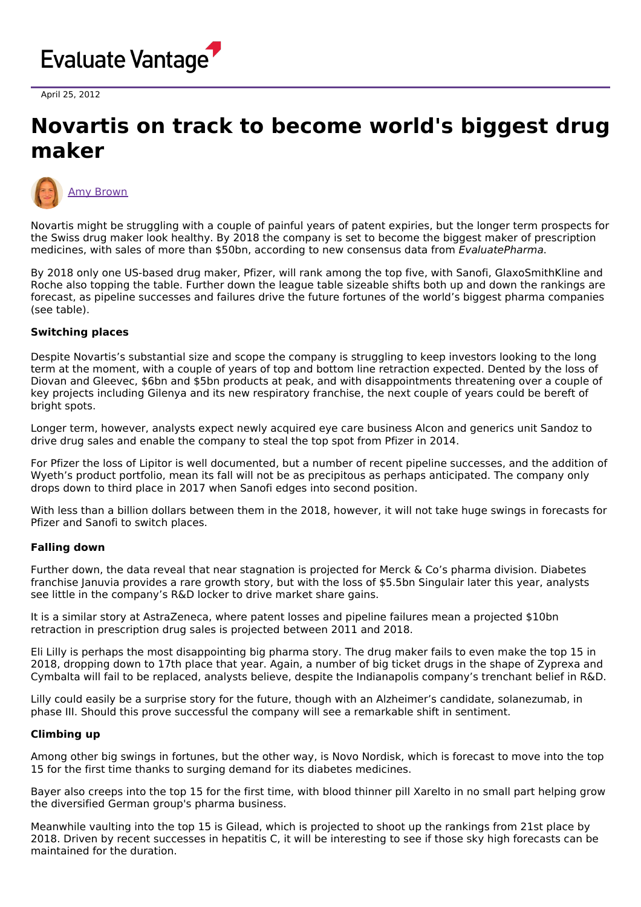

April 25, 2012

# **Novartis on track to become world's biggest drug maker**



Novartis might be struggling with a couple of painful years of patent expiries, but the longer term prospects for the Swiss drug maker look healthy. By 2018 the company is set to become the biggest maker of prescription medicines, with sales of more than \$50bn, according to new consensus data from EvaluatePharma.

By 2018 only one US-based drug maker, Pfizer, will rank among the top five, with Sanofi, GlaxoSmithKline and Roche also topping the table. Further down the league table sizeable shifts both up and down the rankings are forecast, as pipeline successes and failures drive the future fortunes of the world's biggest pharma companies (see table).

## **Switching places**

Despite Novartis's substantial size and scope the company is struggling to keep investors looking to the long term at the moment, with a couple of years of top and bottom line retraction expected. Dented by the loss of Diovan and Gleevec, \$6bn and \$5bn products at peak, and with disappointments threatening over a couple of key projects including Gilenya and its new respiratory franchise, the next couple of years could be bereft of bright spots.

Longer term, however, analysts expect newly acquired eye care business Alcon and generics unit Sandoz to drive drug sales and enable the company to steal the top spot from Pfizer in 2014.

For Pfizer the loss of Lipitor is well documented, but a number of recent pipeline successes, and the addition of Wyeth's product portfolio, mean its fall will not be as precipitous as perhaps anticipated. The company only drops down to third place in 2017 when Sanofi edges into second position.

With less than a billion dollars between them in the 2018, however, it will not take huge swings in forecasts for Pfizer and Sanofi to switch places.

### **Falling down**

Further down, the data reveal that near stagnation is projected for Merck & Co's pharma division. Diabetes franchise Januvia provides a rare growth story, but with the loss of \$5.5bn Singulair later this year, analysts see little in the company's R&D locker to drive market share gains.

It is a similar story at AstraZeneca, where patent losses and pipeline failures mean a projected \$10bn retraction in prescription drug sales is projected between 2011 and 2018.

Eli Lilly is perhaps the most disappointing big pharma story. The drug maker fails to even make the top 15 in 2018, dropping down to 17th place that year. Again, a number of big ticket drugs in the shape of Zyprexa and Cymbalta will fail to be replaced, analysts believe, despite the Indianapolis company's trenchant belief in R&D.

Lilly could easily be a surprise story for the future, though with an Alzheimer's candidate, solanezumab, in phase III. Should this prove successful the company will see a remarkable shift in sentiment.

### **Climbing up**

Among other big swings in fortunes, but the other way, is Novo Nordisk, which is forecast to move into the top 15 for the first time thanks to surging demand for its diabetes medicines.

Bayer also creeps into the top 15 for the first time, with blood thinner pill Xarelto in no small part helping grow the diversified German group's pharma business.

Meanwhile vaulting into the top 15 is Gilead, which is projected to shoot up the rankings from 21st place by 2018. Driven by recent successes in hepatitis C, it will be interesting to see if those sky high forecasts can be maintained for the duration.